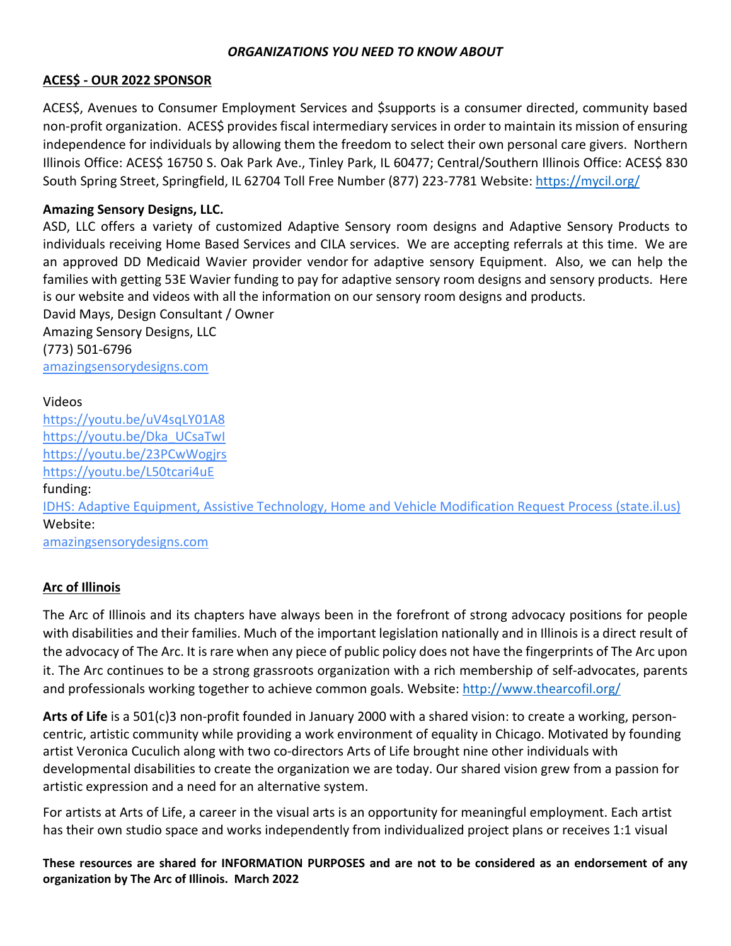### *ORGANIZATIONS YOU NEED TO KNOW ABOUT*

#### **ACES\$ - OUR 2022 SPONSOR**

ACES\$, Avenues to Consumer Employment Services and \$supports is a consumer directed, community based non-profit organization. ACES\$ provides fiscal intermediary services in order to maintain its mission of ensuring independence for individuals by allowing them the freedom to select their own personal care givers. Northern Illinois Office: ACES\$ 16750 S. Oak Park Ave., Tinley Park, IL 60477; Central/Southern Illinois Office: ACES\$ 830 South Spring Street, Springfield, IL 62704 Toll Free Number (877) 223-7781 Website:<https://mycil.org/>

### **Amazing Sensory Designs, LLC.**

ASD, LLC offers a variety of customized Adaptive Sensory room designs and Adaptive Sensory Products to individuals receiving Home Based Services and CILA services. We are accepting referrals at this time. We are an approved DD Medicaid Wavier provider vendor for adaptive sensory Equipment. Also, we can help the families with getting 53E Wavier funding to pay for adaptive sensory room designs and sensory products. Here is our website and videos with all the information on our sensory room designs and products.

David Mays, Design Consultant / Owner Amazing Sensory Designs, LLC (773) 501-6796 [amazingsensorydesigns.com](http://amazingsensorydesigns.com/)

#### Videos

<https://youtu.be/uV4sqLY01A8> [https://youtu.be/Dka\\_UCsaTwI](https://youtu.be/Dka_UCsaTwI) <https://youtu.be/23PCwWogjrs> <https://youtu.be/L50tcari4uE> funding: [IDHS: Adaptive Equipment, Assistive Technology, Home and Vehicle Modification Request Process \(state.il.us\)](https://www.dhs.state.il.us/page.aspx?item=121677) Website: [amazingsensorydesigns.com](http://amazingsensorydesigns.com/)

#### **Arc of Illinois**

The Arc of Illinois and its chapters have always been in the forefront of strong advocacy positions for people with disabilities and their families. Much of the important legislation nationally and in Illinois is a direct result of the advocacy of The Arc. It is rare when any piece of public policy does not have the fingerprints of The Arc upon it. The Arc continues to be a strong grassroots organization with a rich membership of self-advocates, parents and professionals working together to achieve common goals. Website:<http://www.thearcofil.org/>

**Arts of Life** is a 501(c)3 non-profit founded in January 2000 with a shared vision: to create a working, personcentric, artistic community while providing a work environment of equality in Chicago. Motivated by founding artist Veronica Cuculich along with two co-directors Arts of Life brought nine other individuals with developmental disabilities to create the organization we are today. Our shared vision grew from a passion for artistic expression and a need for an alternative system.

For artists at Arts of Life, a career in the visual arts is an opportunity for meaningful employment. Each artist has their own studio space and works independently from individualized project plans or receives 1:1 visual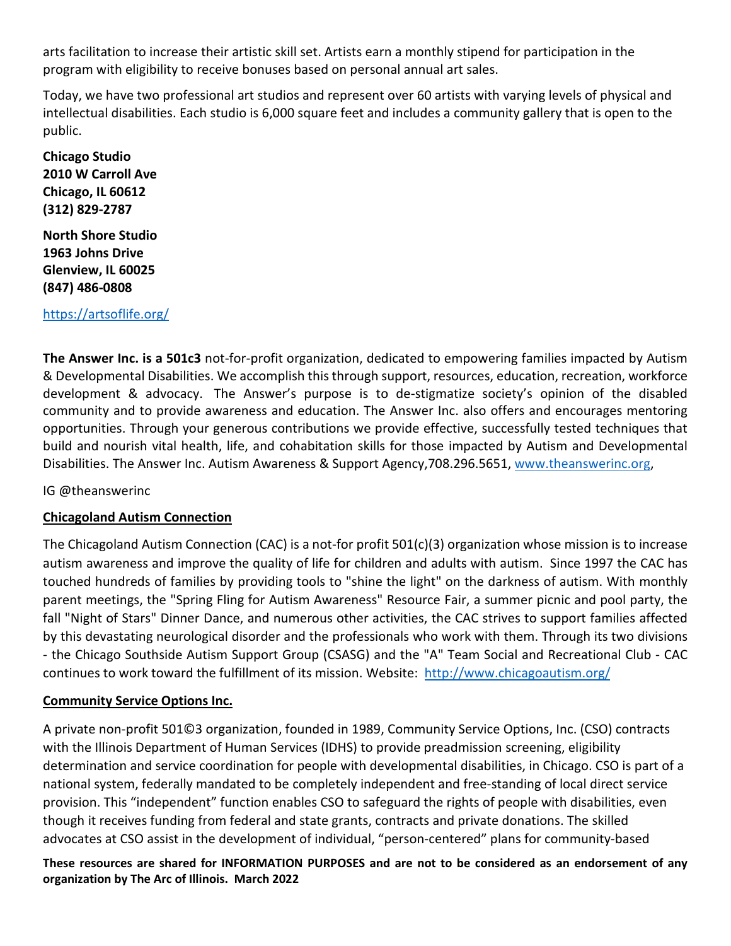arts facilitation to increase their artistic skill set. Artists earn a monthly stipend for participation in the program with eligibility to receive bonuses based on personal annual art sales.

Today, we have two professional art studios and represent over 60 artists with varying levels of physical and intellectual disabilities. Each studio is 6,000 square feet and includes a community gallery that is open to the public.

**Chicago Studio 2010 W Carroll Ave Chicago, IL 60612 (312) 829-2787**

**North Shore Studio 1963 Johns Drive Glenview, IL 60025 (847) 486-0808**

### <https://artsoflife.org/>

**The Answer Inc. is a 501c3** not-for-profit organization, dedicated to empowering families impacted by Autism & Developmental Disabilities. We accomplish this through support, resources, education, recreation, workforce development & advocacy. The Answer's purpose is to de-stigmatize society's opinion of the disabled community and to provide awareness and education. The Answer Inc. also offers and encourages mentoring opportunities. Through your generous contributions we provide effective, successfully tested techniques that build and nourish vital health, life, and cohabitation skills for those impacted by Autism and Developmental Disabilities. The Answer Inc. Autism Awareness & Support Agency,708.296.5651, [www.theanswerinc.org,](http://www.theanswerinc.org/)

IG @theanswerinc

### **Chicagoland Autism Connection**

The Chicagoland Autism Connection (CAC) is a not-for profit 501(c)(3) organization whose mission is to increase autism awareness and improve the quality of life for children and adults with autism. Since 1997 the CAC has touched hundreds of families by providing tools to "shine the light" on the darkness of autism. With monthly parent meetings, the "Spring Fling for Autism Awareness" Resource Fair, a summer picnic and pool party, the fall "Night of Stars" Dinner Dance, and numerous other activities, the CAC strives to support families affected by this devastating neurological disorder and the professionals who work with them. Through its two divisions - the Chicago Southside Autism Support Group (CSASG) and the "A" Team Social and Recreational Club - CAC continues to work toward the fulfillment of its mission. Website: <http://www.chicagoautism.org/>

### **Community Service Options Inc.**

A private non-profit 501©3 organization, founded in 1989, Community Service Options, Inc. (CSO) contracts with the Illinois Department of Human Services (IDHS) to provide preadmission screening, eligibility determination and service coordination for people with developmental disabilities, in Chicago. CSO is part of a national system, federally mandated to be completely independent and free-standing of local direct service provision. This "independent" function enables CSO to safeguard the rights of people with disabilities, even though it receives funding from federal and state grants, contracts and private donations. The skilled advocates at CSO assist in the development of individual, "person-centered" plans for community-based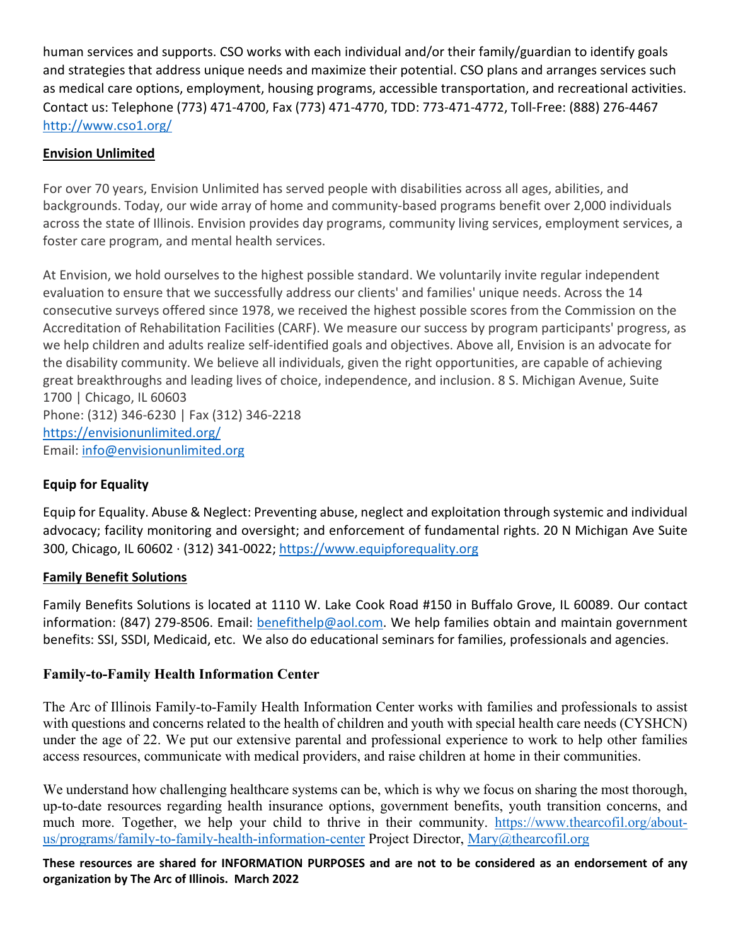human services and supports. CSO works with each individual and/or their family/guardian to identify goals and strategies that address unique needs and maximize their potential. CSO plans and arranges services such as medical care options, employment, housing programs, accessible transportation, and recreational activities. Contact us: Telephone (773) 471-4700, Fax (773) 471-4770, TDD: 773-471-4772, Toll-Free: (888) 276-4467 <http://www.cso1.org/>

## **Envision Unlimited**

For over 70 years, Envision Unlimited has served people with disabilities across all ages, abilities, and backgrounds. Today, our wide array of home and community-based programs benefit over 2,000 individuals across the state of Illinois. Envision provides day programs, community living services, employment services, a foster care program, and mental health services.

At Envision, we hold ourselves to the highest possible standard. We voluntarily invite regular independent evaluation to ensure that we successfully address our clients' and families' unique needs. Across the 14 consecutive surveys offered since 1978, we received the highest possible scores from the Commission on the Accreditation of Rehabilitation Facilities (CARF). We measure our success by program participants' progress, as we help children and adults realize self-identified goals and objectives. Above all, Envision is an advocate for the disability community. We believe all individuals, given the right opportunities, are capable of achieving great breakthroughs and leading lives of choice, independence, and inclusion. 8 S. Michigan Avenue, Suite 1700 | Chicago, IL 60603 Phone: (312) 346-6230 | Fax (312) 346-2218 <https://envisionunlimited.org/>

Email: [info@envisionunlimited.org](mailto:info@envisionchicago.org)

# **Equip for Equality**

Equip for Equality. Abuse & Neglect: Preventing abuse, neglect and exploitation through systemic and individual advocacy; facility monitoring and oversight; and enforcement of fundamental rights. 20 N Michigan Ave Suite 300, Chicago, IL 60602 · (312) 341-0022; [https://www.equipforequality.org](https://www.equipforequality.org/)

### **Family Benefit Solutions**

Family Benefits Solutions is located at 1110 W. Lake Cook Road #150 in Buffalo Grove, IL 60089. Our contact information: (847) 279-8506. Email: [benefithelp@aol.com.](mailto:benefithelp@aol.com) We help families obtain and maintain government benefits: SSI, SSDI, Medicaid, etc. We also do educational seminars for families, professionals and agencies.

### **Family-to-Family Health Information Center**

The Arc of Illinois Family-to-Family Health Information Center works with families and professionals to assist with questions and concerns related to the health of children and youth with special health care needs (CYSHCN) under the age of 22. We put our extensive parental and professional experience to work to help other families access resources, communicate with medical providers, and raise children at home in their communities.

We understand how challenging healthcare systems can be, which is why we focus on sharing the most thorough, up-to-date resources regarding health insurance options, government benefits, youth transition concerns, and much more. Together, we help your child to thrive in their community. [https://www.thearcofil.org/about](https://www.thearcofil.org/about-us/programs/family-to-family-health-information-center)[us/programs/family-to-family-health-information-center](https://www.thearcofil.org/about-us/programs/family-to-family-health-information-center) Project Director, [Mary@thearcofil.org](mailto:Mary@thearcofil.org)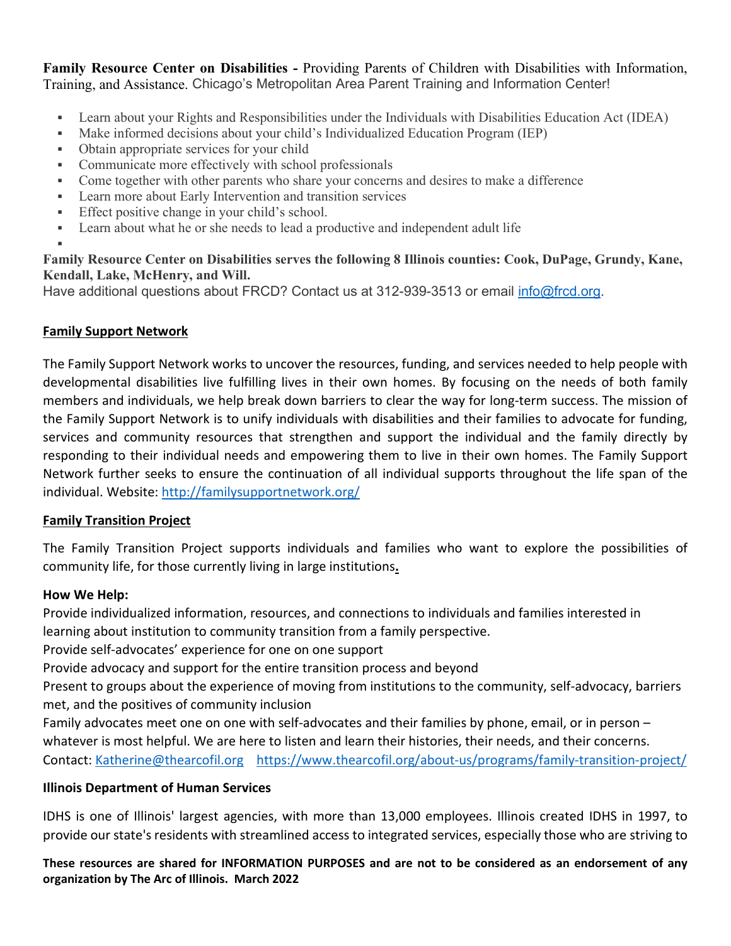**[Family Resource Center on Disabilities](https://frcd.org/) -** Providing Parents of Children with Disabilities with Information, Training, and Assistance. Chicago's Metropolitan Area Parent Training and Information Center!

- Learn about your Rights and Responsibilities under the Individuals with Disabilities Education Act (IDEA)
- Make informed decisions about your child's Individualized Education Program (IEP)
- Obtain appropriate services for your child
- Communicate more effectively with school professionals
- Come together with other parents who share your concerns and desires to make a difference
- **EXECUTE:** Learn more about Early Intervention and transition services
- **Effect positive change in your child's school.**
- Learn about what he or she needs to lead a productive and independent adult life

## **Family Resource Center on Disabilities serves the following 8 Illinois counties: Cook, DuPage, Grundy, Kane, Kendall, Lake, McHenry, and Will.**

Have additional questions about FRCD? Contact us at 312-939-3513 or email [info@frcd.org.](mailto:info@frcd.org)

## **Family Support Network**

ı

The Family Support Network works to uncover the resources, funding, and services needed to help people with developmental disabilities live fulfilling lives in their own homes. By focusing on the needs of both family members and individuals, we help break down barriers to clear the way for long-term success. The mission of the Family Support Network is to unify individuals with disabilities and their families to advocate for funding, services and community resources that strengthen and support the individual and the family directly by responding to their individual needs and empowering them to live in their own homes. The Family Support Network further seeks to ensure the continuation of all individual supports throughout the life span of the individual. Website:<http://familysupportnetwork.org/>

### **Family Transition Project**

The Family Transition Project supports individuals and families who want to explore the possibilities of community life, for those currently living in large institutions**.**

### **How We Help:**

Provide individualized information, resources, and connections to individuals and families interested in learning about institution to community transition from a family perspective.

Provide self-advocates' experience for one on one support

Provide advocacy and support for the entire transition process and beyond

Present to groups about the experience of moving from institutions to the community, self-advocacy, barriers met, and the positives of community inclusion

Family advocates meet one on one with self-advocates and their families by phone, email, or in person – whatever is most helpful. We are here to listen and learn their histories, their needs, and their concerns. Contact: [Katherine@thearcofil.org](mailto:Katherine@thearcofil.org) <https://www.thearcofil.org/about-us/programs/family-transition-project/>

# **Illinois Department of Human Services**

IDHS is one of Illinois' largest agencies, with more than 13,000 employees. Illinois created IDHS in 1997, to provide our state's residents with streamlined access to integrated services, especially those who are striving to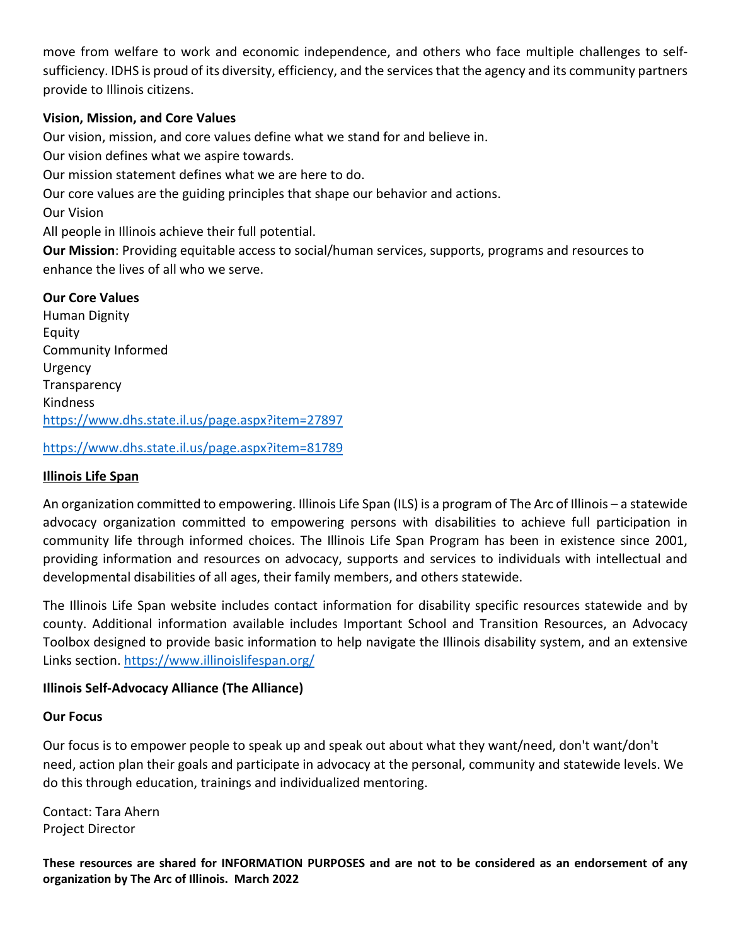move from welfare to work and economic independence, and others who face multiple challenges to selfsufficiency. IDHS is proud of its diversity, efficiency, and the services that the agency and its community partners provide to Illinois citizens.

### **Vision, Mission, and Core Values**

Our vision, mission, and core values define what we stand for and believe in.

Our vision defines what we aspire towards.

Our mission statement defines what we are here to do.

Our core values are the guiding principles that shape our behavior and actions.

Our Vision

All people in Illinois achieve their full potential.

**Our Mission**: Providing equitable access to social/human services, supports, programs and resources to enhance the lives of all who we serve.

#### **Our Core Values**

Human Dignity Equity Community Informed Urgency Transparency Kindness <https://www.dhs.state.il.us/page.aspx?item=27897>

<https://www.dhs.state.il.us/page.aspx?item=81789>

#### **Illinois Life Span**

An organization committed to empowering. Illinois Life Span (ILS) is a program of The Arc of Illinois – a statewide advocacy organization committed to empowering persons with disabilities to achieve full participation in community life through informed choices. The Illinois Life Span Program has been in existence since 2001, providing information and resources on advocacy, supports and services to individuals with intellectual and developmental disabilities of all ages, their family members, and others statewide.

The Illinois Life Span website includes contact information for disability specific resources statewide and by county. Additional information available includes Important School and Transition Resources, an Advocacy Toolbox designed to provide basic information to help navigate the Illinois disability system, and an extensive Links section. <https://www.illinoislifespan.org/>

#### **Illinois Self-Advocacy Alliance (The Alliance)**

#### **Our Focus**

Our focus is to empower people to speak up and speak out about what they want/need, don't want/don't need, action plan their goals and participate in advocacy at the personal, community and statewide levels. We do this through education, trainings and individualized mentoring.

Contact: Tara Ahern Project Director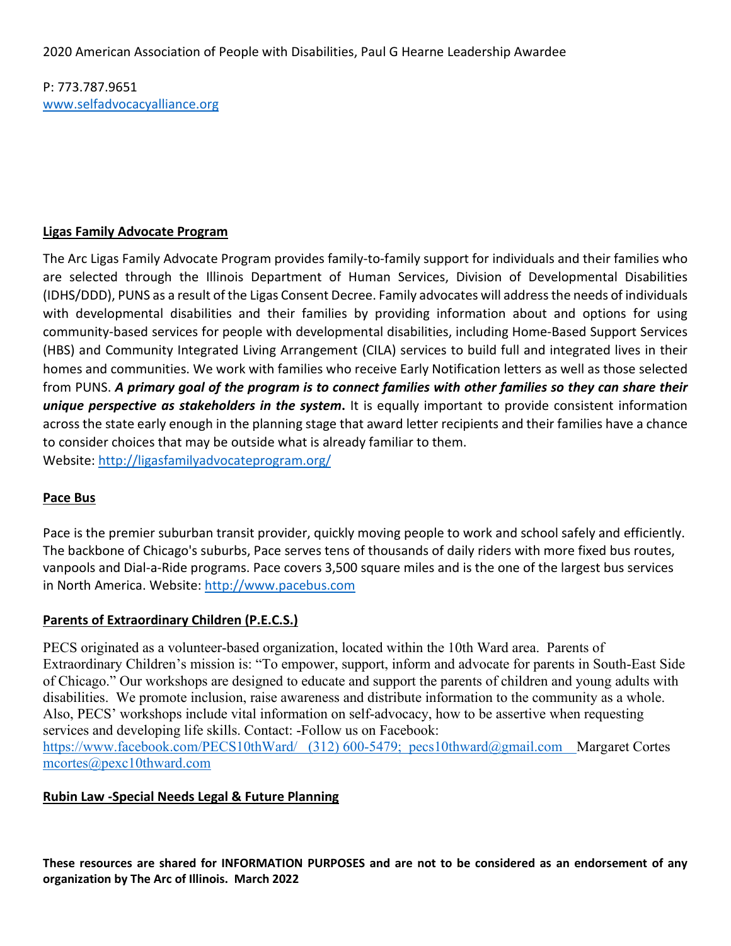P: 773.787.9651 [www.selfadvocacyalliance.org](http://www.selfadvocacyalliance.org/)

### **Ligas Family Advocate Program**

The Arc Ligas Family Advocate Program provides family-to-family support for individuals and their families who are selected through the Illinois Department of Human Services, Division of Developmental Disabilities (IDHS/DDD), PUNS as a result of the Ligas Consent Decree. Family advocates will address the needs of individuals with developmental disabilities and their families by providing information about and options for using community-based services for people with developmental disabilities, including Home-Based Support Services (HBS) and Community Integrated Living Arrangement (CILA) services to build full and integrated lives in their homes and communities. We work with families who receive Early Notification letters as well as those selected from PUNS. *A primary goal of the program is to connect families with other families so they can share their unique perspective as stakeholders in the system***.** It is equally important to provide consistent information across the state early enough in the planning stage that award letter recipients and their families have a chance to consider choices that may be outside what is already familiar to them. Website:<http://ligasfamilyadvocateprogram.org/>

#### **Pace Bus**

Pace is the premier suburban transit provider, quickly moving people to work and school safely and efficiently. The backbone of Chicago's suburbs, Pace serves tens of thousands of daily riders with more fixed bus routes, vanpools and Dial-a-Ride programs. Pace covers 3,500 square miles and is the one of the largest bus services in North America. Website: [http://www.pacebus.com](http://www.pacebus.com/)

### **Parents of Extraordinary Children (P.E.C.S.)**

PECS originated as a volunteer-based organization, located within the 10th Ward area. Parents of Extraordinary Children's mission is: "To empower, support, inform and advocate for parents in South-East Side of Chicago." Our workshops are designed to educate and support the parents of children and young adults with disabilities. We promote inclusion, raise awareness and distribute information to the community as a whole. Also, PECS' workshops include vital information on self-advocacy, how to be assertive when requesting services and developing life skills. Contact: -Follow us on Facebook: <https://www.facebook.com/PECS10thWard/>(312) 600-5479; [pecs10thward@gmail.com](mailto:pecs10thward@gmail.com) Margaret Cortes [mcortes@pexc10thward.com](mailto:mcortes@pexc10thward.com)

#### **Rubin Law -Special Needs Legal & Future Planning**